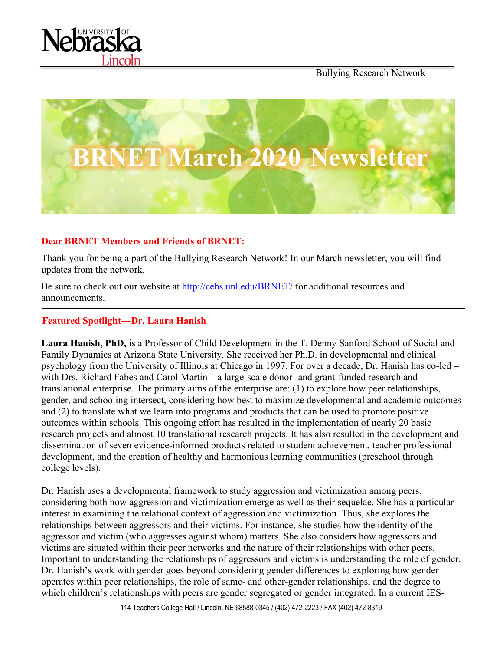





## **Dear BRNET Members and Friends of BRNET:**

Thank you for being a part of the Bullying Research Network! In our March newsletter, you will find updates from the network.

Be sure to check out our website at<http://cehs.unl.edu/BRNET/> for additional resources and announcements.

#### **Featured Spotlight—Dr. Laura Hanish**

**Laura Hanish, PhD,** is a Professor of Child Development in the T. Denny Sanford School of Social and Family Dynamics at Arizona State University. She received her Ph.D. in developmental and clinical psychology from the University of Illinois at Chicago in 1997. For over a decade, Dr. Hanish has co-led – with Drs. Richard Fabes and Carol Martin – a large-scale donor- and grant-funded research and translational enterprise. The primary aims of the enterprise are: (1) to explore how peer relationships, gender, and schooling intersect, considering how best to maximize developmental and academic outcomes and (2) to translate what we learn into programs and products that can be used to promote positive outcomes within schools. This ongoing effort has resulted in the implementation of nearly 20 basic research projects and almost 10 translational research projects. It has also resulted in the development and dissemination of seven evidence-informed products related to student achievement, teacher professional development, and the creation of healthy and harmonious learning communities (preschool through college levels).

Dr. Hanish uses a developmental framework to study aggression and victimization among peers, considering both how aggression and victimization emerge as well as their sequelae. She has a particular interest in examining the relational context of aggression and victimization. Thus, she explores the relationships between aggressors and their victims. For instance, she studies how the identity of the aggressor and victim (who aggresses against whom) matters. She also considers how aggressors and victims are situated within their peer networks and the nature of their relationships with other peers. Important to understanding the relationships of aggressors and victims is understanding the role of gender. Dr. Hanish's work with gender goes beyond considering gender differences to exploring how gender operates within peer relationships, the role of same- and other-gender relationships, and the degree to which children's relationships with peers are gender segregated or gender integrated. In a current IES-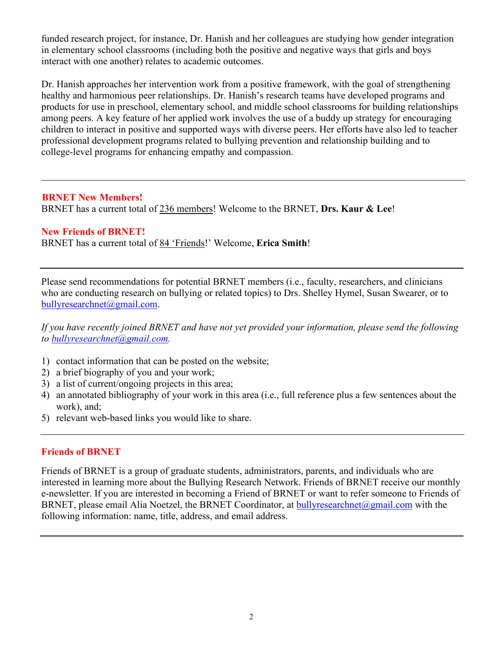funded research project, for instance, Dr. Hanish and her colleagues are studying how gender integration in elementary school classrooms (including both the positive and negative ways that girls and boys interact with one another) relates to academic outcomes.

Dr. Hanish approaches her intervention work from a positive framework, with the goal of strengthening healthy and harmonious peer relationships. Dr. Hanish's research teams have developed programs and products for use in preschool, elementary school, and middle school classrooms for building relationships among peers. A key feature of her applied work involves the use of a buddy up strategy for encouraging children to interact in positive and supported ways with diverse peers. Her efforts have also led to teacher professional development programs related to bullying prevention and relationship building and to college-level programs for enhancing empathy and compassion.

#### **BRNET New Members!**

BRNET has a current total of 236 members! Welcome to the BRNET, **Drs. Kaur & Lee**!

#### **New Friends of BRNET!**

BRNET has a current total of 84 'Friends!' Welcome, **Erica Smith**!

Please send recommendations for potential BRNET members (i.e., faculty, researchers, and clinicians who are conducting research on bullying or related topics) to Drs. Shelley Hymel, Susan Swearer, or to [bullyresearchnet@gmail.com.](mailto:bullyresearchnet@gmail.com)

*If you have recently joined BRNET and have not yet provided your information, please send the following to [bullyresearchnet@gmail.com.](mailto:bullyresearchnet@gmail.com)*

- 1) contact information that can be posted on the website;
- 2) a brief biography of you and your work;
- 3) a list of current/ongoing projects in this area;
- 4) an annotated bibliography of your work in this area (i.e., full reference plus a few sentences about the work), and;
- 5) relevant web-based links you would like to share.

## **Friends of BRNET**

Friends of BRNET is a group of graduate students, administrators, parents, and individuals who are interested in learning more about the Bullying Research Network. Friends of BRNET receive our monthly e-newsletter. If you are interested in becoming a Friend of BRNET or want to refer someone to Friends of BRNET, please email Alia Noetzel, the BRNET Coordinator, at [bullyresearchnet@gmail.com](mailto:bullyresearchnet@gmail.com) with the following information: name, title, address, and email address.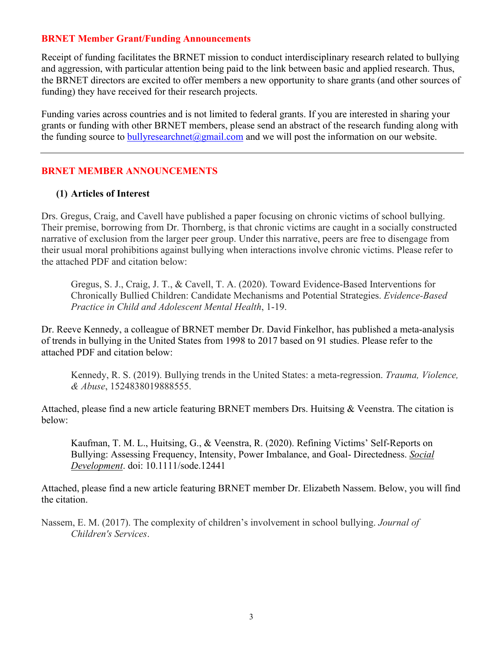#### **BRNET Member Grant/Funding Announcements**

Receipt of funding facilitates the BRNET mission to conduct interdisciplinary research related to bullying and aggression, with particular attention being paid to the link between basic and applied research. Thus, the BRNET directors are excited to offer members a new opportunity to share grants (and other sources of funding) they have received for their research projects.

Funding varies across countries and is not limited to federal grants. If you are interested in sharing your grants or funding with other BRNET members, please send an abstract of the research funding along with the funding source to bully research net  $\omega$  gmail.com and we will post the information on our website.

#### **BRNET MEMBER ANNOUNCEMENTS**

#### **(1) Articles of Interest**

Drs. Gregus, Craig, and Cavell have published a paper focusing on chronic victims of school bullying. Their premise, borrowing from Dr. Thornberg, is that chronic victims are caught in a socially constructed narrative of exclusion from the larger peer group. Under this narrative, peers are free to disengage from their usual moral prohibitions against bullying when interactions involve chronic victims. Please refer to the attached PDF and citation below:

Gregus, S. J., Craig, J. T., & Cavell, T. A. (2020). Toward Evidence-Based Interventions for Chronically Bullied Children: Candidate Mechanisms and Potential Strategies. *Evidence-Based Practice in Child and Adolescent Mental Health*, 1-19.

Dr. Reeve Kennedy, a colleague of BRNET member Dr. David Finkelhor, has published a meta-analysis of trends in bullying in the United States from 1998 to 2017 based on 91 studies. Please refer to the attached PDF and citation below:

Kennedy, R. S. (2019). Bullying trends in the United States: a meta-regression. *Trauma, Violence, & Abuse*, 1524838019888555.

Attached, please find a new article featuring BRNET members Drs. Huitsing & Veenstra. The citation is below:

Kaufman, T. M. L., Huitsing, G., & Veenstra, R. (2020). Refining Victims' Self-Reports on Bullying: Assessing Frequency, Intensity, Power Imbalance, and Goal- Directedness. *Social Development*. doi: 10.1111/sode.12441

Attached, please find a new article featuring BRNET member Dr. Elizabeth Nassem. Below, you will find the citation.

Nassem, E. M. (2017). The complexity of children's involvement in school bullying. *Journal of Children's Services*.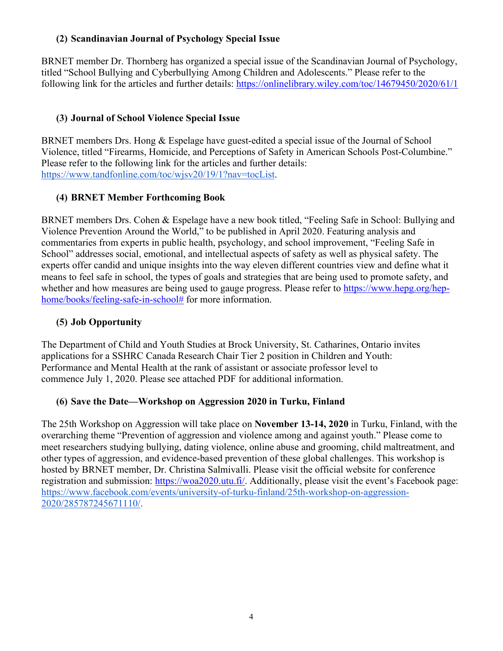## **(2) Scandinavian Journal of Psychology Special Issue**

BRNET member Dr. Thornberg has organized a special issue of the Scandinavian Journal of Psychology, titled "School Bullying and Cyberbullying Among Children and Adolescents." Please refer to the following link for the articles and further details:<https://onlinelibrary.wiley.com/toc/14679450/2020/61/1>

# **(3) Journal of School Violence Special Issue**

BRNET members Drs. Hong & Espelage have guest-edited a special issue of the Journal of School Violence, titled "Firearms, Homicide, and Perceptions of Safety in American Schools Post-Columbine." Please refer to the following link for the articles and further details: [https://www.tandfonline.com/toc/wjsv20/19/1?nav=tocList.](https://urldefense.proofpoint.com/v2/url?u=https-3A__www.tandfonline.com_toc_wjsv20_19_1-3Fnav-3DtocList&d=DwMFAw&c=Cu5g146wZdoqVuKpTNsYHeFX_rg6kWhlkLF8Eft-wwo&r=cXoPjE5bhAYAw7UpUbU1OVNKQBjHq0uZTOrbgqFBDIg&m=7MynkyfIUI9cXc2Pw-WVjSGQuV6CuBcFNN1kVCZgk5A&s=IAq_4mRigsRl78KufKxJ2E2swGZTuaRgpV5g0niRARo&e=)

## **(4) BRNET Member Forthcoming Book**

BRNET members Drs. Cohen & Espelage have a new book titled, "Feeling Safe in School: Bullying and Violence Prevention Around the World," to be published in April 2020. Featuring analysis and commentaries from experts in public health, psychology, and school improvement, "Feeling Safe in School" addresses social, emotional, and intellectual aspects of safety as well as physical safety. The experts offer candid and unique insights into the way eleven different countries view and define what it means to feel safe in school, the types of goals and strategies that are being used to promote safety, and whether and how measures are being used to gauge progress. Please refer to [https://www.hepg.org/hep](https://www.hepg.org/hep-home/books/feeling-safe-in-school)[home/books/feeling-safe-in-school#](https://www.hepg.org/hep-home/books/feeling-safe-in-school) for more information.

## **(5) Job Opportunity**

The Department of Child and Youth Studies at Brock University, St. Catharines, Ontario invites applications for a SSHRC Canada Research Chair Tier 2 position in Children and Youth: Performance and Mental Health at the rank of assistant or associate professor level to commence July 1, 2020. Please see attached PDF for additional information.

## **(6) Save the Date—Workshop on Aggression 2020 in Turku, Finland**

The 25th Workshop on Aggression will take place on **November 13-14, 2020** in Turku, Finland, with the overarching theme "Prevention of aggression and violence among and against youth." Please come to meet researchers studying bullying, dating violence, online abuse and grooming, child maltreatment, and other types of aggression, and evidence-based prevention of these global challenges. This workshop is hosted by BRNET member, Dr. Christina Salmivalli. Please visit the official website for conference registration and submission: [https://woa2020.utu.fi/.](https://woa2020.utu.fi/) Additionally, please visit the event's Facebook page: [https://www.facebook.com/events/university-of-turku-finland/25th-workshop-on-aggression-](https://urldefense.proofpoint.com/v2/url?u=https-3A__www.facebook.com_events_university-2Dof-2Dturku-2Dfinland_25th-2Dworkshop-2Don-2Daggression-2D2020_285787245671110_&d=DwMGaQ&c=Cu5g146wZdoqVuKpTNsYHeFX_rg6kWhlkLF8Eft-wwo&r=cXoPjE5bhAYAw7UpUbU1OVNKQBjHq0uZTOrbgqFBDIg&m=N9kY2MP9kLPFtbMzLgqPoHnMwVSFAbi6eDqUNPPswoA&s=LClm3KxyW0zDFPvK9dKOSrnI3LMSxG_Gb-RUb7WNpE8&e=)[2020/285787245671110/.](https://urldefense.proofpoint.com/v2/url?u=https-3A__www.facebook.com_events_university-2Dof-2Dturku-2Dfinland_25th-2Dworkshop-2Don-2Daggression-2D2020_285787245671110_&d=DwMGaQ&c=Cu5g146wZdoqVuKpTNsYHeFX_rg6kWhlkLF8Eft-wwo&r=cXoPjE5bhAYAw7UpUbU1OVNKQBjHq0uZTOrbgqFBDIg&m=N9kY2MP9kLPFtbMzLgqPoHnMwVSFAbi6eDqUNPPswoA&s=LClm3KxyW0zDFPvK9dKOSrnI3LMSxG_Gb-RUb7WNpE8&e=)